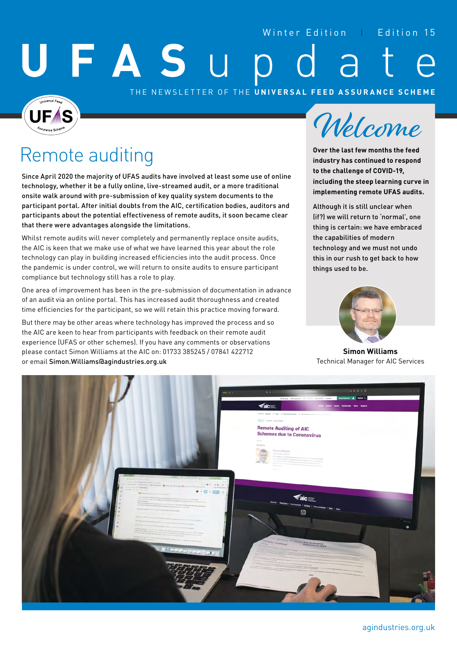#### Winter Edition | Edition 15

# FASU

#### THE NEWSLETTER OF THE **UNIVERSAL FEED ASSURANCE SCHEME**

## Remote auditing

Since April 2020 the majority of UFAS audits have involved at least some use of online technology, whether it be a fully online, live-streamed audit, or a more traditional onsite walk around with pre-submission of key quality system documents to the participant portal. After initial doubts from the AIC, certification bodies, auditors and participants about the potential effectiveness of remote audits, it soon became clear that there were advantages alongside the limitations.

Whilst remote audits will never completely and permanently replace onsite audits, the AIC is keen that we make use of what we have learned this year about the role technology can play in building increased efficiencies into the audit process. Once the pandemic is under control, we will return to onsite audits to ensure participant compliance but technology still has a role to play.

One area of improvement has been in the pre-submission of documentation in advance of an audit via an online portal. This has increased audit thoroughness and created time efficiencies for the participant, so we will retain this practice moving forward.

But there may be other areas where technology has improved the process and so the AIC are keen to hear from participants with feedback on their remote audit experience (UFAS or other schemes). If you have any comments or observations please contact Simon Williams at the AIC on: 01733 385245 / 07841 422712 or email Simon.Williams@agindustries.org.uk



**Over the last few months the feed industry has continued to respond to the challenge of COVID-19, including the steep learning curve in implementing remote UFAS audits.** 

Although it is still unclear when (if?) we will return to 'normal', one thing is certain: we have embraced the capabilities of modern technology and we must not undo this in our rush to get back to how things used to be.



**Simon Williams**  Technical Manager for AIC Services

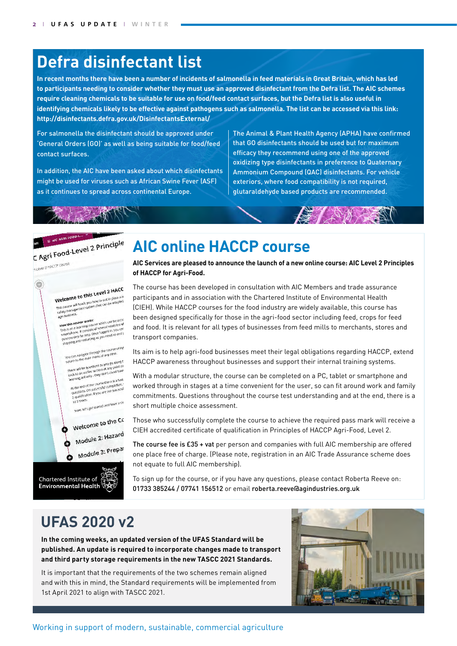## **Defra disinfectant list**

**In recent months there have been a number of incidents of salmonella in feed materials in Great Britain, which has led to participants needing to consider whether they must use an approved disinfectant from the Defra list. The AIC schemes require cleaning chemicals to be suitable for use on food/feed contact surfaces, but the Defra list is also useful in identifying chemicals likely to be effective against pathogens such as salmonella. The list can be accessed via this link: [http://disinfectants.defra.gov.uk/DisinfectantsExternal/](http://disinfectants.defra.gov.uk/DisinfectantsExternal/Default.aspx?Module=ApprovalsList_SI)**

For salmonella the disinfectant should be approved under 'General Orders (GO)' as well as being suitable for food/feed contact surfaces.

In addition, the AIC have been asked about which disinfectants might be used for viruses such as African Swine Fever (ASF) as it continues to spread across continental Europe.

The Animal & Plant Health Agency (APHA) have confirmed that GO disinfectants should be used but for maximum efficacy they recommend using one of the approved oxidizing type disinfectants in preference to Quaternary Ammonium Compound (QAC) disinfectants. For vehicle exteriors, where food compatibility is not required, glutaraldehyde based products are recommended.

 $G \wedge N \geq N$ 

#### $\equiv$  AIC AGRI FO ME E AIC AGRI FOOD-L- 2 Principle



## **AIC online HACCP course**

**AIC Services are pleased to announce the launch of a new online course: AIC Level 2 Principles of HACCP for Agri-Food.**

The course has been developed in consultation with AIC Members and trade assurance participants and in association with the Chartered Institute of Environmental Health (CIEH). While HACCP courses for the food industry are widely available, this course has been designed specifically for those in the agri-food sector including feed, crops for feed and food. It is relevant for all types of businesses from feed mills to merchants, stores and transport companies.

Its aim is to help agri-food businesses meet their legal obligations regarding HACCP, extend HACCP awareness throughout businesses and support their internal training systems.

With a modular structure, the course can be completed on a PC, tablet or smartphone and worked through in stages at a time convenient for the user, so can fit around work and family commitments. Questions throughout the course test understanding and at the end, there is a short multiple choice assessment.

Those who successfully complete the course to achieve the required pass mark will receive a CIEH accredited certificate of qualification in Principles of HACCP Agri-Food, Level 2.

The course fee is £35 + vat per person and companies with full AIC membership are offered one place free of charge. (Please note, registration in an AIC Trade Assurance scheme does not equate to full AIC membership).

To sign up for the course, or if you have any questions, please contact Roberta Reeve on: 01733 385244 / 07741 156512 or email roberta.reeve@agindustries.org.uk

## **UFAS 2020 v2**

**In the coming weeks, an updated version of the UFAS Standard will be published. An update is required to incorporate changes made to transport and third party storage requirements in the new TASCC 2021 Standards.**

It is important that the requirements of the two schemes remain aligned and with this in mind, the Standard requirements will be implemented from 1st April 2021 to align with TASCC 2021.

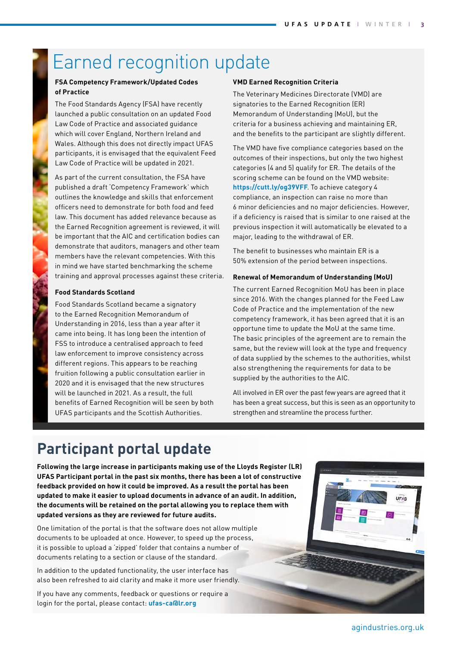## Earned recognition update

#### **FSA Competency Framework/Updated Codes of Practice**

The Food Standards Agency (FSA) have recently launched a public consultation on an updated Food Law Code of Practice and associated guidance which will cover England, Northern Ireland and Wales. Although this does not directly impact UFAS participants, it is envisaged that the equivalent Feed Law Code of Practice will be updated in 2021.

As part of the current consultation, the FSA have published a draft 'Competency Framework' which outlines the knowledge and skills that enforcement officers need to demonstrate for both food and feed law. This document has added relevance because as the Earned Recognition agreement is reviewed, it will be important that the AIC and certification bodies can demonstrate that auditors, managers and other team members have the relevant competencies. With this in mind we have started benchmarking the scheme training and approval processes against these criteria.

#### **Food Standards Scotland**

Food Standards Scotland became a signatory to the Earned Recognition Memorandum of Understanding in 2016, less than a year after it came into being. It has long been the intention of FSS to introduce a centralised approach to feed law enforcement to improve consistency across different regions. This appears to be reaching fruition following a public consultation earlier in 2020 and it is envisaged that the new structures will be launched in 2021. As a result, the full benefits of Earned Recognition will be seen by both UFAS participants and the Scottish Authorities.

#### **VMD Earned Recognition Criteria**

The Veterinary Medicines Directorate (VMD) are signatories to the Earned Recognition (ER) Memorandum of Understanding (MoU), but the criteria for a business achieving and maintaining ER, and the benefits to the participant are slightly different.

The VMD have five compliance categories based on the outcomes of their inspections, but only the two highest categories (4 and 5) qualify for ER. The details of the scoring scheme can be found on the VMD website: **<https://cutt.ly/og39VFF>**. To achieve category 4 compliance, an inspection can raise no more than 6 minor deficiencies and no major deficiencies. However, if a deficiency is raised that is similar to one raised at the previous inspection it will automatically be elevated to a major, leading to the withdrawal of ER.

The benefit to businesses who maintain ER is a 50% extension of the period between inspections.

#### **Renewal of Memorandum of Understanding (MoU)**

The current Earned Recognition MoU has been in place since 2016. With the changes planned for the Feed Law Code of Practice and the implementation of the new competency framework, it has been agreed that it is an opportune time to update the MoU at the same time. The basic principles of the agreement are to remain the same, but the review will look at the type and frequency of data supplied by the schemes to the authorities, whilst also strengthening the requirements for data to be supplied by the authorities to the AIC.

All involved in ER over the past few years are agreed that it has been a great success, but this is seen as an opportunity to strengthen and streamline the process further.

## **Participant portal update**

**Following the large increase in participants making use of the Lloyds Register (LR) UFAS Participant portal in the past six months, there has been a lot of constructive feedback provided on how it could be improved. As a result the portal has been updated to make it easier to upload documents in advance of an audit. In addition, the documents will be retained on the portal allowing you to replace them with updated versions as they are reviewed for future audits.**

One limitation of the portal is that the software does not allow multiple documents to be uploaded at once. However, to speed up the process, it is possible to upload a 'zipped' folder that contains a number of documents relating to a section or clause of the standard.

In addition to the updated functionality, the user interface has also been refreshed to aid clarity and make it more user friendly.

If you have any comments, feedback or questions or require a login for the portal, please contact: **[ufas-ca@lr.org](http://ufas-ca@lr.org)**